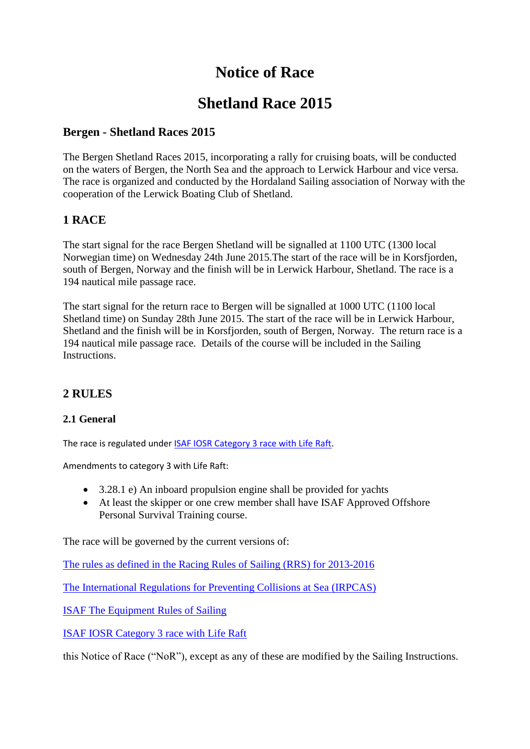# **Notice of Race**

# **Shetland Race 2015**

# **Bergen - Shetland Races 2015**

The Bergen Shetland Races 2015, incorporating a rally for cruising boats, will be conducted on the waters of Bergen, the North Sea and the approach to Lerwick Harbour and vice versa. The race is organized and conducted by the Hordaland Sailing association of Norway with the cooperation of the Lerwick Boating Club of Shetland.

# **1 RACE**

The start signal for the race Bergen Shetland will be signalled at 1100 UTC (1300 local Norwegian time) on Wednesday 24th June 2015.The start of the race will be in Korsfjorden, south of Bergen, Norway and the finish will be in Lerwick Harbour, Shetland. The race is a 194 nautical mile passage race.

The start signal for the return race to Bergen will be signalled at 1000 UTC (1100 local Shetland time) on Sunday 28th June 2015. The start of the race will be in Lerwick Harbour, Shetland and the finish will be in Korsfjorden, south of Bergen, Norway. The return race is a 194 nautical mile passage race. Details of the course will be included in the Sailing Instructions.

# **2 RULES**

#### **2.1 General**

The race is regulated unde[r ISAF IOSR Category 3 race with Life Raft.](http://www.sailing.org/tools/documents/OSR2012Mo3life-%5b11795%5d.pdf)

Amendments to category 3 with Life Raft:

- 3.28.1 e) An inboard propulsion engine shall be provided for yachts
- At least the skipper or one crew member shall have ISAF Approved Offshore Personal Survival Training course.

The race will be governed by the current versions of:

[The rules as defined in the Racing Rules of Sailing \(RRS\) for 2013-2016](http://www.sailing.org/tools/documents/ISAFRRS20132016Final-%5b13376%5d.pdf)

[The International Regulations for Preventing Collisions at Sea \(IRPCAS\)](http://www.dft.gov.uk/mca/msn_1781-2.pdf)

[ISAF The Equipment Rules of Sailing](http://www.sailing.org/tools/documents/ERS20092012Complete-%5B5953%5D.pdf)

[ISAF IOSR Category 3 race with Life Raft](http://www.sailing.org/tools/documents/OSR2012Mo3life-%5b11795%5d.pdf)

this Notice of Race ("NoR"), except as any of these are modified by the Sailing Instructions.